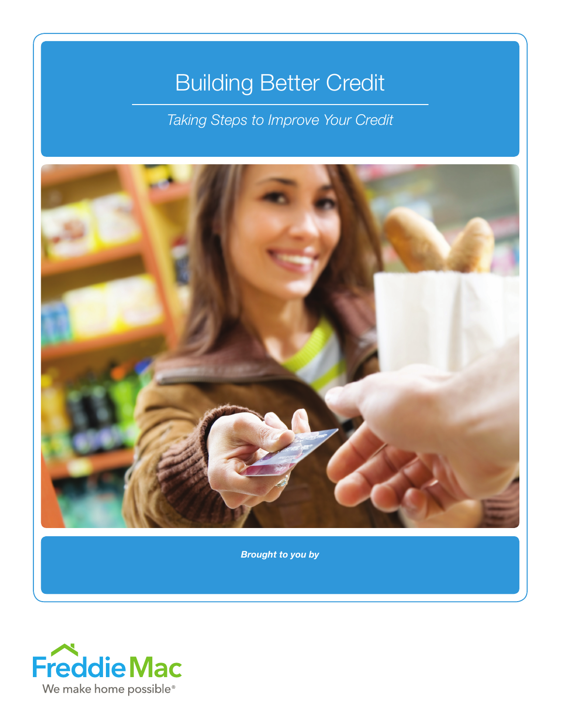# Building Better Credit

*Taking Steps to Improve Your Credit*



*Brought to you by*

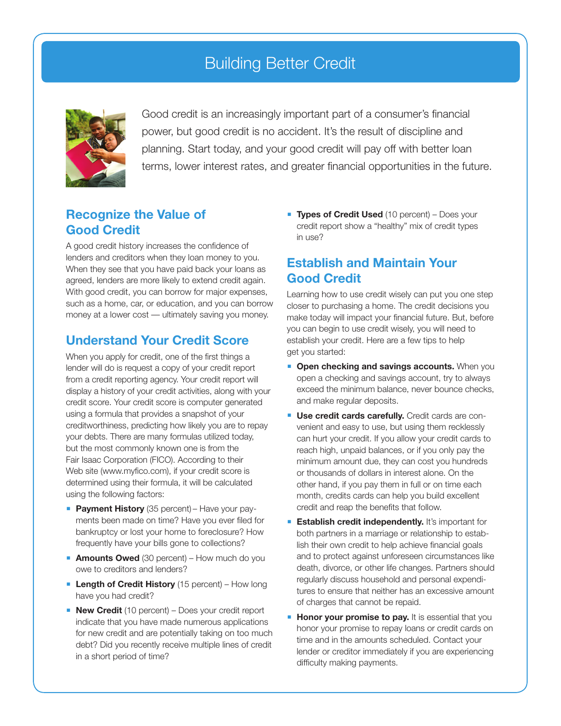## Building Better Credit



Good credit is an increasingly important part of a consumer's financial power, but good credit is no accident. It's the result of discipline and planning. Start today, and your good credit will pay off with better loan terms, lower interest rates, and greater financial opportunities in the future.

#### **Recognize the Value of Good Credit**

A good credit history increases the confidence of lenders and creditors when they loan money to you. When they see that you have paid back your loans as agreed, lenders are more likely to extend credit again. With good credit, you can borrow for major expenses, such as a home, car, or education, and you can borrow money at a lower cost — ultimately saving you money.

#### **Understand Your Credit Score**

When you apply for credit, one of the first things a lender will do is request a copy of your credit report from a credit reporting agency. Your credit report will display a history of your credit activities, along with your credit score. Your credit score is computer generated using a formula that provides a snapshot of your creditworthiness, predicting how likely you are to repay your debts. There are many formulas utilized today, but the most commonly known one is from the Fair Isaac Corporation (FICO). According to their Web site (www.myfico.com), if your credit score is determined using their formula, it will be calculated using the following factors:

- **Payment History** (35 percent) Have your payments been made on time? Have you ever filed for bankruptcy or lost your home to foreclosure? How frequently have your bills gone to collections?
- **Amounts Owed** (30 percent) How much do you owe to creditors and lenders?
- **Length of Credit History** (15 percent) How long have you had credit?
- **New Credit** (10 percent) Does your credit report indicate that you have made numerous applications for new credit and are potentially taking on too much debt? Did you recently receive multiple lines of credit in a short period of time?

**Types of Credit Used** (10 percent) – Does your credit report show a "healthy" mix of credit types in use?

#### **Establish and Maintain Your Good Credit**

Learning how to use credit wisely can put you one step closer to purchasing a home. The credit decisions you make today will impact your financial future. But, before you can begin to use credit wisely, you will need to establish your credit. Here are a few tips to help get you started:

- **Open checking and savings accounts.** When you open a checking and savings account, try to always exceed the minimum balance, never bounce checks, and make regular deposits.
- **Use credit cards carefully.** Credit cards are convenient and easy to use, but using them recklessly can hurt your credit. If you allow your credit cards to reach high, unpaid balances, or if you only pay the minimum amount due, they can cost you hundreds or thousands of dollars in interest alone. On the other hand, if you pay them in full or on time each month, credits cards can help you build excellent credit and reap the benefits that follow.
- **Establish credit independently.** It's important for both partners in a marriage or relationship to establish their own credit to help achieve financial goals and to protect against unforeseen circumstances like death, divorce, or other life changes. Partners should regularly discuss household and personal expenditures to ensure that neither has an excessive amount of charges that cannot be repaid.
- **Honor your promise to pay.** It is essential that you honor your promise to repay loans or credit cards on time and in the amounts scheduled. Contact your lender or creditor immediately if you are experiencing difficulty making payments.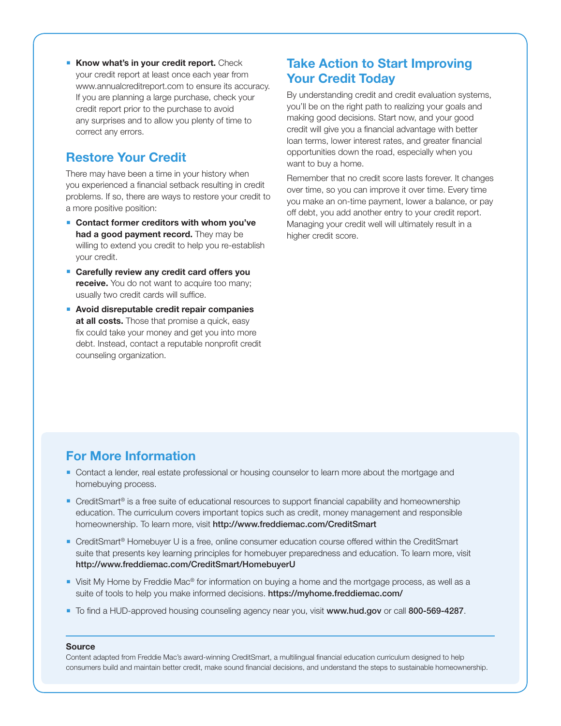**Know what's in your credit report.** Check your credit report at least once each year from www.annualcreditreport.com to ensure its accuracy. If you are planning a large purchase, check your credit report prior to the purchase to avoid any surprises and to allow you plenty of time to correct any errors.

#### **Restore Your Credit**

There may have been a time in your history when you experienced a financial setback resulting in credit problems. If so, there are ways to restore your credit to a more positive position:

- **Contact former creditors with whom you've had a good payment record.** They may be willing to extend you credit to help you re-establish your credit.
- **Carefully review any credit card offers you receive.** You do not want to acquire too many; usually two credit cards will suffice.
- **Avoid disreputable credit repair companies at all costs.** Those that promise a quick, easy fix could take your money and get you into more debt. Instead, contact a reputable nonprofit credit counseling organization.

### **Take Action to Start Improving Your Credit Today**

By understanding credit and credit evaluation systems, you'll be on the right path to realizing your goals and making good decisions. Start now, and your good credit will give you a financial advantage with better loan terms, lower interest rates, and greater financial opportunities down the road, especially when you want to buy a home.

Remember that no credit score lasts forever. It changes over time, so you can improve it over time. Every time you make an on-time payment, lower a balance, or pay off debt, you add another entry to your credit report. Managing your credit well will ultimately result in a higher credit score.

#### **For More Information**

- **Contact a lender, real estate professional or housing counselor to learn more about the mortgage and** homebuying process.
- CreditSmart<sup>®</sup> is a free suite of educational resources to support financial capability and homeownership education. The curriculum covers important topics such as credit, money management and responsible homeownership. To learn more, visit http://www.freddiemac.com/CreditSmart
- CreditSmart<sup>®</sup> Homebuyer U is a free, online consumer education course offered within the CreditSmart suite that presents key learning principles for homebuyer preparedness and education. To learn more, visit http://www.freddiemac.com/CreditSmart/HomebuyerU
- Visit My Home by Freddie Mac® for information on buying a home and the mortgage process, as well as a suite of tools to help you make informed decisions. https://myhome.freddiemac.com/
- To find a HUD-approved housing counseling agency near you, visit www.hud.gov or call 800-569-4287.

#### **Source**

Content adapted from Freddie Mac's award-winning CreditSmart, a multilingual financial education curriculum designed to help consumers build and maintain better credit, make sound financial decisions, and understand the steps to sustainable homeownership.